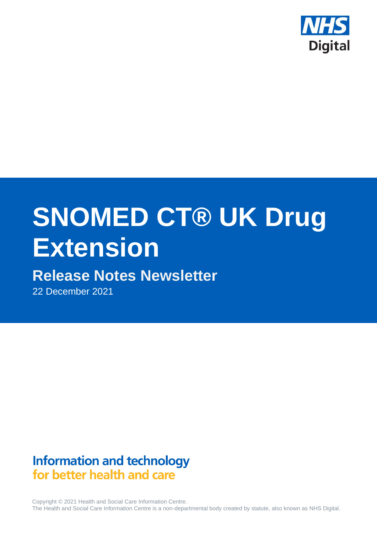

# **SNOMED CT® UK Drug Extension**

# **Release Notes Newsletter**

22 December 2021

# **Information and technology** for better health and care

Copyright © 2021 Health and Social Care Information Centre. The Health and Social Care Information Centre is a non-departmental body created by statute, also known as NHS Digital.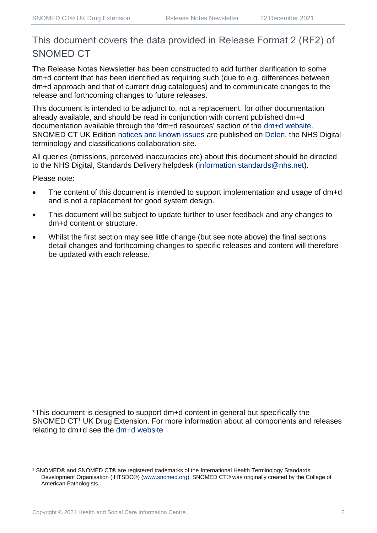## This document covers the data provided in Release Format 2 (RF2) of SNOMED CT

The Release Notes Newsletter has been constructed to add further clarification to some dm+d content that has been identified as requiring such (due to e.g. differences between dm+d approach and that of current drug catalogues) and to communicate changes to the release and forthcoming changes to future releases.

This document is intended to be adjunct to, not a replacement, for other documentation already available, and should be read in conjunction with current published dm+d documentation available through the 'dm+d resources' section of the [dm+d website.](https://www.nhsbsa.nhs.uk/pharmacies-gp-practices-and-appliance-contractors/dictionary-medicines-and-devices-dmd) SNOMED CT UK Edition [notices and known issues](https://hscic.kahootz.com/connect.ti/t_c_home/view?objectId=14224752) are published on [Delen,](https://hscic.kahootz.com/connect.ti/t_c_home) the NHS Digital terminology and classifications collaboration site.

All queries (omissions, perceived inaccuracies etc) about this document should be directed to the NHS Digital, Standards Delivery helpdesk [\(information.standards@nhs.net\)](mailto:information.standards@nhs.net).

Please note:

- The content of this document is intended to support implementation and usage of dm+d and is not a replacement for good system design.
- This document will be subject to update further to user feedback and any changes to dm+d content or structure.
- Whilst the first section may see little change (but see note above) the final sections detail changes and forthcoming changes to specific releases and content will therefore be updated with each release.

\*This document is designed to support dm+d content in general but specifically the SNOMED CT<sup>1</sup> UK Drug Extension. For more information about all components and releases relating to dm+d see the [dm+d website](https://www.nhsbsa.nhs.uk/pharmacies-gp-practices-and-appliance-contractors/dictionary-medicines-and-devices-dmd)

<sup>1</sup> SNOMED® and SNOMED CT® are registered trademarks of the International Health Terminology Standards Development Organisation (IHTSDO®) [\(www.snomed.org\)](http://www.snomed.org/). SNOMED CT® was originally created by the College of American Pathologists.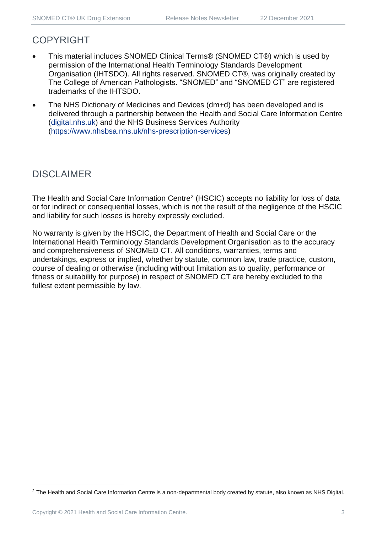### COPYRIGHT

- This material includes SNOMED Clinical Terms® (SNOMED CT®) which is used by permission of the International Health Terminology Standards Development Organisation (IHTSDO). All rights reserved. SNOMED CT®, was originally created by The College of American Pathologists. "SNOMED" and "SNOMED CT" are registered trademarks of the IHTSDO.
- The NHS Dictionary of Medicines and Devices (dm+d) has been developed and is delivered through a partnership between the Health and Social Care Information Centre [\(digital.nhs.uk\)](https://digital.nhs.uk/) and the NHS Business Services Authority [\(https://www.nhsbsa.nhs.uk/nhs-prescription-services\)](https://www.nhsbsa.nhs.uk/nhs-prescription-services)

## DISCLAIMER

The Health and Social Care Information Centre<sup>2</sup> (HSCIC) accepts no liability for loss of data or for indirect or consequential losses, which is not the result of the negligence of the HSCIC and liability for such losses is hereby expressly excluded.

No warranty is given by the HSCIC, the Department of Health and Social Care or the International Health Terminology Standards Development Organisation as to the accuracy and comprehensiveness of SNOMED CT. All conditions, warranties, terms and undertakings, express or implied, whether by statute, common law, trade practice, custom, course of dealing or otherwise (including without limitation as to quality, performance or fitness or suitability for purpose) in respect of SNOMED CT are hereby excluded to the fullest extent permissible by law.

<sup>&</sup>lt;sup>2</sup> The Health and Social Care Information Centre is a non-departmental body created by statute, also known as NHS Digital.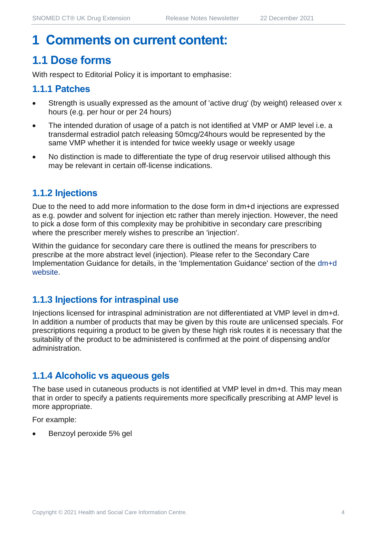# **1 Comments on current content:**

# **1.1 Dose forms**

With respect to Editorial Policy it is important to emphasise:

#### **1.1.1 Patches**

- Strength is usually expressed as the amount of 'active drug' (by weight) released over x hours (e.g. per hour or per 24 hours)
- The intended duration of usage of a patch is not identified at VMP or AMP level i.e. a transdermal estradiol patch releasing 50mcg/24hours would be represented by the same VMP whether it is intended for twice weekly usage or weekly usage
- No distinction is made to differentiate the type of drug reservoir utilised although this may be relevant in certain off-license indications.

#### **1.1.2 Injections**

Due to the need to add more information to the dose form in dm+d injections are expressed as e.g. powder and solvent for injection etc rather than merely injection. However, the need to pick a dose form of this complexity may be prohibitive in secondary care prescribing where the prescriber merely wishes to prescribe an 'injection'.

Within the guidance for secondary care there is outlined the means for prescribers to prescribe at the more abstract level (injection). Please refer to the Secondary Care Implementation Guidance for details, in the 'Implementation Guidance' section of the [dm+d](https://www.nhsbsa.nhs.uk/pharmacies-gp-practices-and-appliance-contractors/dictionary-medicines-and-devices-dmd)  [website.](https://www.nhsbsa.nhs.uk/pharmacies-gp-practices-and-appliance-contractors/dictionary-medicines-and-devices-dmd)

#### **1.1.3 Injections for intraspinal use**

Injections licensed for intraspinal administration are not differentiated at VMP level in dm+d. In addition a number of products that may be given by this route are unlicensed specials. For prescriptions requiring a product to be given by these high risk routes it is necessary that the suitability of the product to be administered is confirmed at the point of dispensing and/or administration.

#### **1.1.4 Alcoholic vs aqueous gels**

The base used in cutaneous products is not identified at VMP level in dm+d. This may mean that in order to specify a patients requirements more specifically prescribing at AMP level is more appropriate.

For example:

• Benzoyl peroxide 5% gel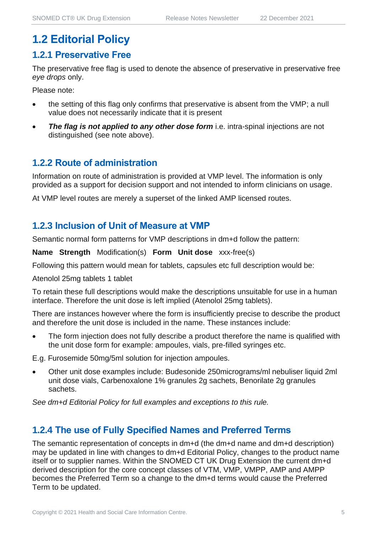# **1.2 Editorial Policy**

#### **1.2.1 Preservative Free**

The preservative free flag is used to denote the absence of preservative in preservative free *eye drops* only.

Please note:

- the setting of this flag only confirms that preservative is absent from the VMP; a null value does not necessarily indicate that it is present
- **The flag is not applied to any other dose form** i.e. intra-spinal injections are not distinguished (see note above).

#### **1.2.2 Route of administration**

Information on route of administration is provided at VMP level. The information is only provided as a support for decision support and not intended to inform clinicians on usage.

At VMP level routes are merely a superset of the linked AMP licensed routes.

#### **1.2.3 Inclusion of Unit of Measure at VMP**

Semantic normal form patterns for VMP descriptions in dm+d follow the pattern:

**Name Strength** Modification(s) **Form Unit dose** xxx-free(s)

Following this pattern would mean for tablets, capsules etc full description would be:

Atenolol 25mg tablets 1 tablet

To retain these full descriptions would make the descriptions unsuitable for use in a human interface. Therefore the unit dose is left implied (Atenolol 25mg tablets).

There are instances however where the form is insufficiently precise to describe the product and therefore the unit dose is included in the name. These instances include:

The form injection does not fully describe a product therefore the name is qualified with the unit dose form for example: ampoules, vials, pre-filled syringes etc.

E.g. Furosemide 50mg/5ml solution for injection ampoules.

• Other unit dose examples include: Budesonide 250micrograms/ml nebuliser liquid 2ml unit dose vials, Carbenoxalone 1% granules 2g sachets, Benorilate 2g granules sachets.

*See dm+d Editorial Policy for full examples and exceptions to this rule.*

#### **1.2.4 The use of Fully Specified Names and Preferred Terms**

The semantic representation of concepts in dm+d (the dm+d name and dm+d description) may be updated in line with changes to dm+d Editorial Policy, changes to the product name itself or to supplier names. Within the SNOMED CT UK Drug Extension the current dm+d derived description for the core concept classes of VTM, VMP, VMPP, AMP and AMPP becomes the Preferred Term so a change to the dm+d terms would cause the Preferred Term to be updated.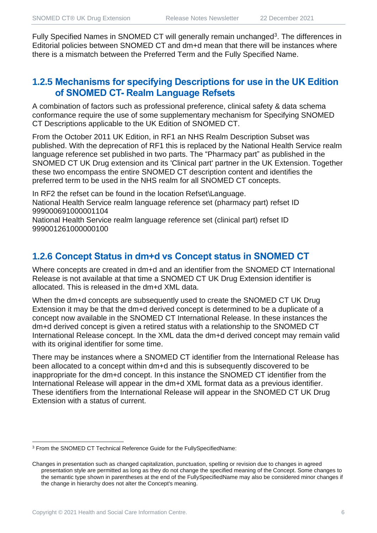Fully Specified Names in SNOMED CT will generally remain unchanged<sup>3</sup>. The differences in Editorial policies between SNOMED CT and dm+d mean that there will be instances where there is a mismatch between the Preferred Term and the Fully Specified Name.

#### **1.2.5 Mechanisms for specifying Descriptions for use in the UK Edition of SNOMED CT- Realm Language Refsets**

A combination of factors such as professional preference, clinical safety & data schema conformance require the use of some supplementary mechanism for Specifying SNOMED CT Descriptions applicable to the UK Edition of SNOMED CT.

From the October 2011 UK Edition, in RF1 an NHS Realm Description Subset was published. With the deprecation of RF1 this is replaced by the National Health Service realm language reference set published in two parts. The "Pharmacy part" as published in the SNOMED CT UK Drug extension and its 'Clinical part' partner in the UK Extension. Together these two encompass the entire SNOMED CT description content and identifies the preferred term to be used in the NHS realm for all SNOMED CT concepts.

In RF2 the refset can be found in the location Refset\Language. National Health Service realm language reference set (pharmacy part) refset ID 999000691000001104

National Health Service realm language reference set (clinical part) refset ID 999001261000000100

#### **1.2.6 Concept Status in dm+d vs Concept status in SNOMED CT**

Where concepts are created in dm+d and an identifier from the SNOMED CT International Release is not available at that time a SNOMED CT UK Drug Extension identifier is allocated. This is released in the dm+d XML data.

When the dm+d concepts are subsequently used to create the SNOMED CT UK Drug Extension it may be that the dm+d derived concept is determined to be a duplicate of a concept now available in the SNOMED CT International Release. In these instances the dm+d derived concept is given a retired status with a relationship to the SNOMED CT International Release concept. In the XML data the dm+d derived concept may remain valid with its original identifier for some time.

There may be instances where a SNOMED CT identifier from the International Release has been allocated to a concept within dm+d and this is subsequently discovered to be inappropriate for the dm+d concept. In this instance the SNOMED CT identifier from the International Release will appear in the dm+d XML format data as a previous identifier. These identifiers from the International Release will appear in the SNOMED CT UK Drug Extension with a status of current.

<sup>3</sup> From the SNOMED CT Technical Reference Guide for the FullySpecifiedName:

Changes in presentation such as changed capitalization, punctuation, spelling or revision due to changes in agreed presentation style are permitted as long as they do not change the specified meaning of the Concept. Some changes to the semantic type shown in parentheses at the end of the FullySpecifiedName may also be considered minor changes if the change in hierarchy does not alter the Concept's meaning.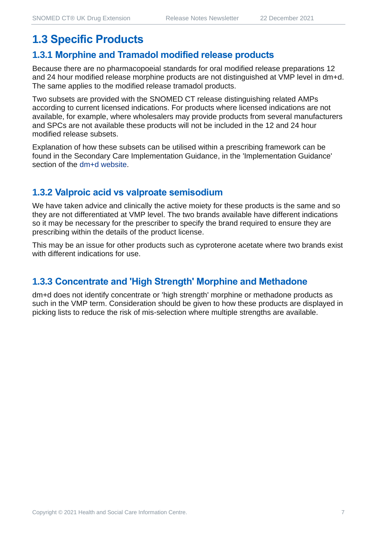# **1.3 Specific Products**

#### **1.3.1 Morphine and Tramadol modified release products**

Because there are no pharmacopoeial standards for oral modified release preparations 12 and 24 hour modified release morphine products are not distinguished at VMP level in dm+d. The same applies to the modified release tramadol products.

Two subsets are provided with the SNOMED CT release distinguishing related AMPs according to current licensed indications. For products where licensed indications are not available, for example, where wholesalers may provide products from several manufacturers and SPCs are not available these products will not be included in the 12 and 24 hour modified release subsets.

Explanation of how these subsets can be utilised within a prescribing framework can be found in the Secondary Care Implementation Guidance, in the 'Implementation Guidance' section of the [dm+d website.](https://www.nhsbsa.nhs.uk/pharmacies-gp-practices-and-appliance-contractors/dictionary-medicines-and-devices-dmd)

#### **1.3.2 Valproic acid vs valproate semisodium**

We have taken advice and clinically the active moiety for these products is the same and so they are not differentiated at VMP level. The two brands available have different indications so it may be necessary for the prescriber to specify the brand required to ensure they are prescribing within the details of the product license.

This may be an issue for other products such as cyproterone acetate where two brands exist with different indications for use.

#### **1.3.3 Concentrate and 'High Strength' Morphine and Methadone**

dm+d does not identify concentrate or 'high strength' morphine or methadone products as such in the VMP term. Consideration should be given to how these products are displayed in picking lists to reduce the risk of mis-selection where multiple strengths are available.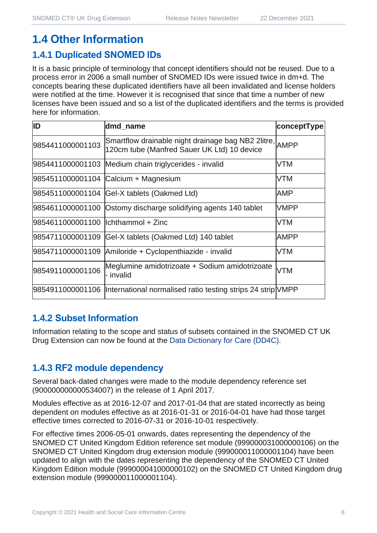# **1.4 Other Information**

#### **1.4.1 Duplicated SNOMED IDs**

It is a basic principle of terminology that concept identifiers should not be reused. Due to a process error in 2006 a small number of SNOMED IDs were issued twice in dm+d. The concepts bearing these duplicated identifiers have all been invalidated and license holders were notified at the time. However it is recognised that since that time a number of new licenses have been issued and so a list of the duplicated identifiers and the terms is provided here for information.

| ID                                  | dmd_name                                                                                               | conceptType |
|-------------------------------------|--------------------------------------------------------------------------------------------------------|-------------|
| 9854411000001103                    | Smartflow drainable night drainage bag NB2 2litre, AMPP<br>120cm tube (Manfred Sauer UK Ltd) 10 device |             |
|                                     | 9854411000001103 Medium chain triglycerides - invalid                                                  | <b>VTM</b>  |
|                                     | 9854511000001104 Calcium + Magnesium                                                                   | <b>VTM</b>  |
|                                     | 9854511000001104 Gel-X tablets (Oakmed Ltd)                                                            | AMP         |
|                                     | 9854611000001100 Ostomy discharge solidifying agents 140 tablet                                        | <b>VMPP</b> |
| 9854611000001100  lchthammol + Zinc |                                                                                                        | <b>VTM</b>  |
| 9854711000001109                    | Gel-X tablets (Oakmed Ltd) 140 tablet                                                                  | <b>AMPP</b> |
|                                     | 9854711000001109 Amiloride + Cyclopenthiazide - invalid                                                | <b>VTM</b>  |
| 9854911000001106                    | Meglumine amidotrizoate + Sodium amidotrizoate<br>- invalid                                            | <b>VTM</b>  |
|                                     | 9854911000001106  International normalised ratio testing strips 24 strip VMPP                          |             |

#### **1.4.2 Subset Information**

Information relating to the scope and status of subsets contained in the SNOMED CT UK Drug Extension can now be found at the [Data Dictionary for Care \(DD4C\).](https://dd4c.digital.nhs.uk/dd4c/)

#### **1.4.3 RF2 module dependency**

Several back-dated changes were made to the module dependency reference set (900000000000534007) in the release of 1 April 2017.

Modules effective as at 2016-12-07 and 2017-01-04 that are stated incorrectly as being dependent on modules effective as at 2016-01-31 or 2016-04-01 have had those target effective times corrected to 2016-07-31 or 2016-10-01 respectively.

For effective times 2006-05-01 onwards, dates representing the dependency of the SNOMED CT United Kingdom Edition reference set module (999000031000000106) on the SNOMED CT United Kingdom drug extension module (999000011000001104) have been updated to align with the dates representing the dependency of the SNOMED CT United Kingdom Edition module (999000041000000102) on the SNOMED CT United Kingdom drug extension module (999000011000001104).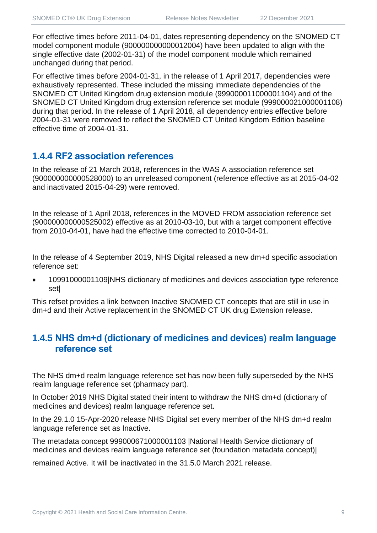For effective times before 2011-04-01, dates representing dependency on the SNOMED CT model component module (900000000000012004) have been updated to align with the single effective date (2002-01-31) of the model component module which remained unchanged during that period.

For effective times before 2004-01-31, in the release of 1 April 2017, dependencies were exhaustively represented. These included the missing immediate dependencies of the SNOMED CT United Kingdom drug extension module (999000011000001104) and of the SNOMED CT United Kingdom drug extension reference set module (999000021000001108) during that period. In the release of 1 April 2018, all dependency entries effective before 2004-01-31 were removed to reflect the SNOMED CT United Kingdom Edition baseline effective time of 2004-01-31.

#### **1.4.4 RF2 association references**

In the release of 21 March 2018, references in the WAS A association reference set (900000000000528000) to an unreleased component (reference effective as at 2015-04-02 and inactivated 2015-04-29) were removed.

In the release of 1 April 2018, references in the MOVED FROM association reference set (900000000000525002) effective as at 2010-03-10, but with a target component effective from 2010-04-01, have had the effective time corrected to 2010-04-01.

In the release of 4 September 2019, NHS Digital released a new dm+d specific association reference set:

• 10991000001109|NHS dictionary of medicines and devices association type reference set|

This refset provides a link between Inactive SNOMED CT concepts that are still in use in dm+d and their Active replacement in the SNOMED CT UK drug Extension release.

#### **1.4.5 NHS dm+d (dictionary of medicines and devices) realm language reference set**

The NHS dm+d realm language reference set has now been fully superseded by the NHS realm language reference set (pharmacy part).

In October 2019 NHS Digital stated their intent to withdraw the NHS dm+d (dictionary of medicines and devices) realm language reference set.

In the 29.1.0 15-Apr-2020 release NHS Digital set every member of the NHS dm+d realm language reference set as Inactive.

The metadata concept 999000671000001103 |National Health Service dictionary of medicines and devices realm language reference set (foundation metadata concept)|

remained Active. It will be inactivated in the 31.5.0 March 2021 release.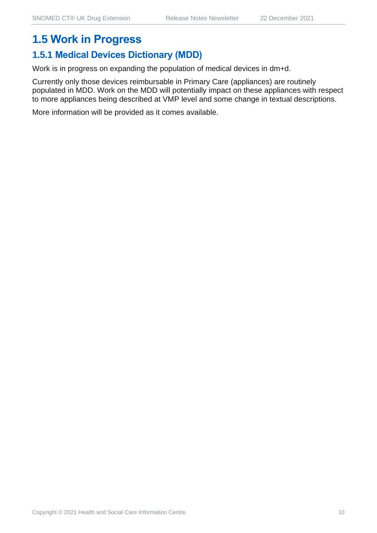## **1.5 Work in Progress**

#### **1.5.1 Medical Devices Dictionary (MDD)**

Work is in progress on expanding the population of medical devices in dm+d.

Currently only those devices reimbursable in Primary Care (appliances) are routinely populated in MDD. Work on the MDD will potentially impact on these appliances with respect to more appliances being described at VMP level and some change in textual descriptions.

More information will be provided as it comes available.